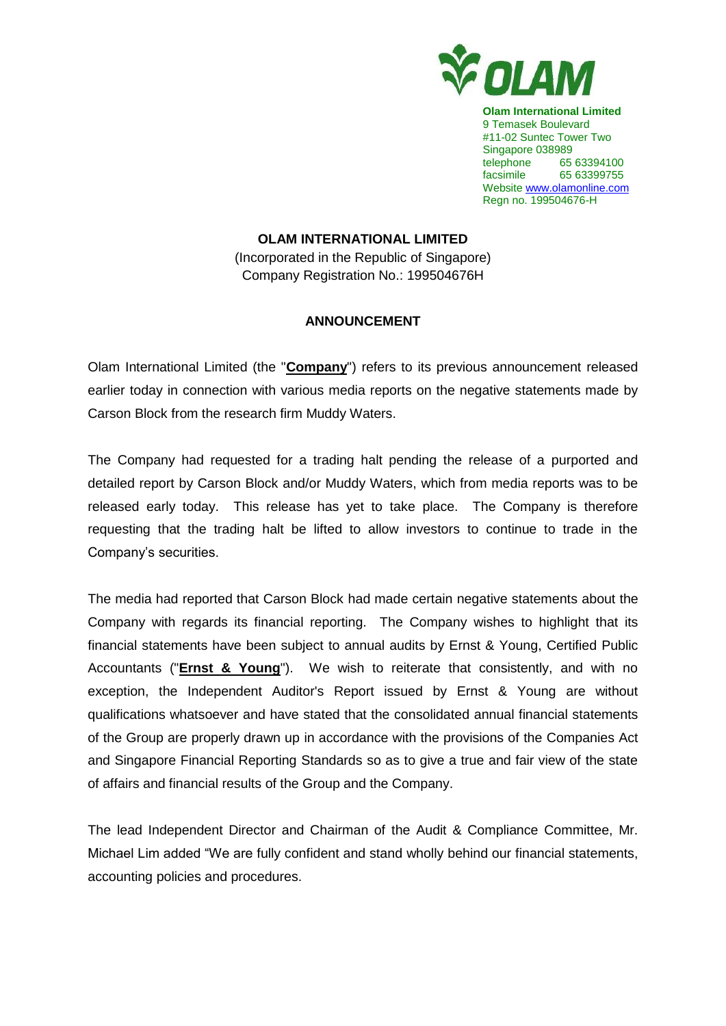

**Olam International Limited** 9 Temasek Boulevard #11-02 Suntec Tower Two Singapore 038989 telephone 65 63394100 facsimile 65 63399755 Website www.olamonline.com Regn no. 199504676-H

## **OLAM INTERNATIONAL LIMITED**

(Incorporated in the Republic of Singapore) Company Registration No.: 199504676H

## **ANNOUNCEMENT**

Olam International Limited (the "**Company**") refers to its previous announcement released earlier today in connection with various media reports on the negative statements made by Carson Block from the research firm Muddy Waters.

The Company had requested for a trading halt pending the release of a purported and detailed report by Carson Block and/or Muddy Waters, which from media reports was to be released early today. This release has yet to take place. The Company is therefore requesting that the trading halt be lifted to allow investors to continue to trade in the Company's securities.

The media had reported that Carson Block had made certain negative statements about the Company with regards its financial reporting. The Company wishes to highlight that its financial statements have been subject to annual audits by Ernst & Young, Certified Public Accountants ("**Ernst & Young**"). We wish to reiterate that consistently, and with no exception, the Independent Auditor's Report issued by Ernst & Young are without qualifications whatsoever and have stated that the consolidated annual financial statements of the Group are properly drawn up in accordance with the provisions of the Companies Act and Singapore Financial Reporting Standards so as to give a true and fair view of the state of affairs and financial results of the Group and the Company.

The lead Independent Director and Chairman of the Audit & Compliance Committee, Mr. Michael Lim added "We are fully confident and stand wholly behind our financial statements, accounting policies and procedures.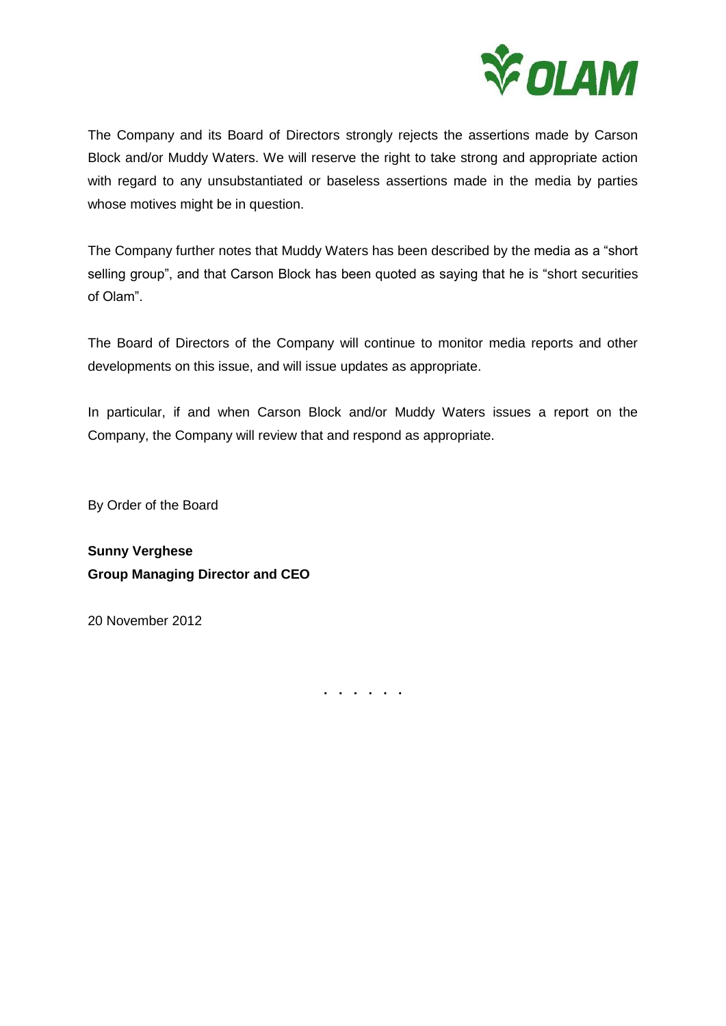

The Company and its Board of Directors strongly rejects the assertions made by Carson Block and/or Muddy Waters. We will reserve the right to take strong and appropriate action with regard to any unsubstantiated or baseless assertions made in the media by parties whose motives might be in question.

The Company further notes that Muddy Waters has been described by the media as a "short selling group", and that Carson Block has been guoted as saying that he is "short securities of Olam".

The Board of Directors of the Company will continue to monitor media reports and other developments on this issue, and will issue updates as appropriate.

In particular, if and when Carson Block and/or Muddy Waters issues a report on the Company, the Company will review that and respond as appropriate.

By Order of the Board

**Sunny Verghese Group Managing Director and CEO**

20 November 2012

**. . . . . .**